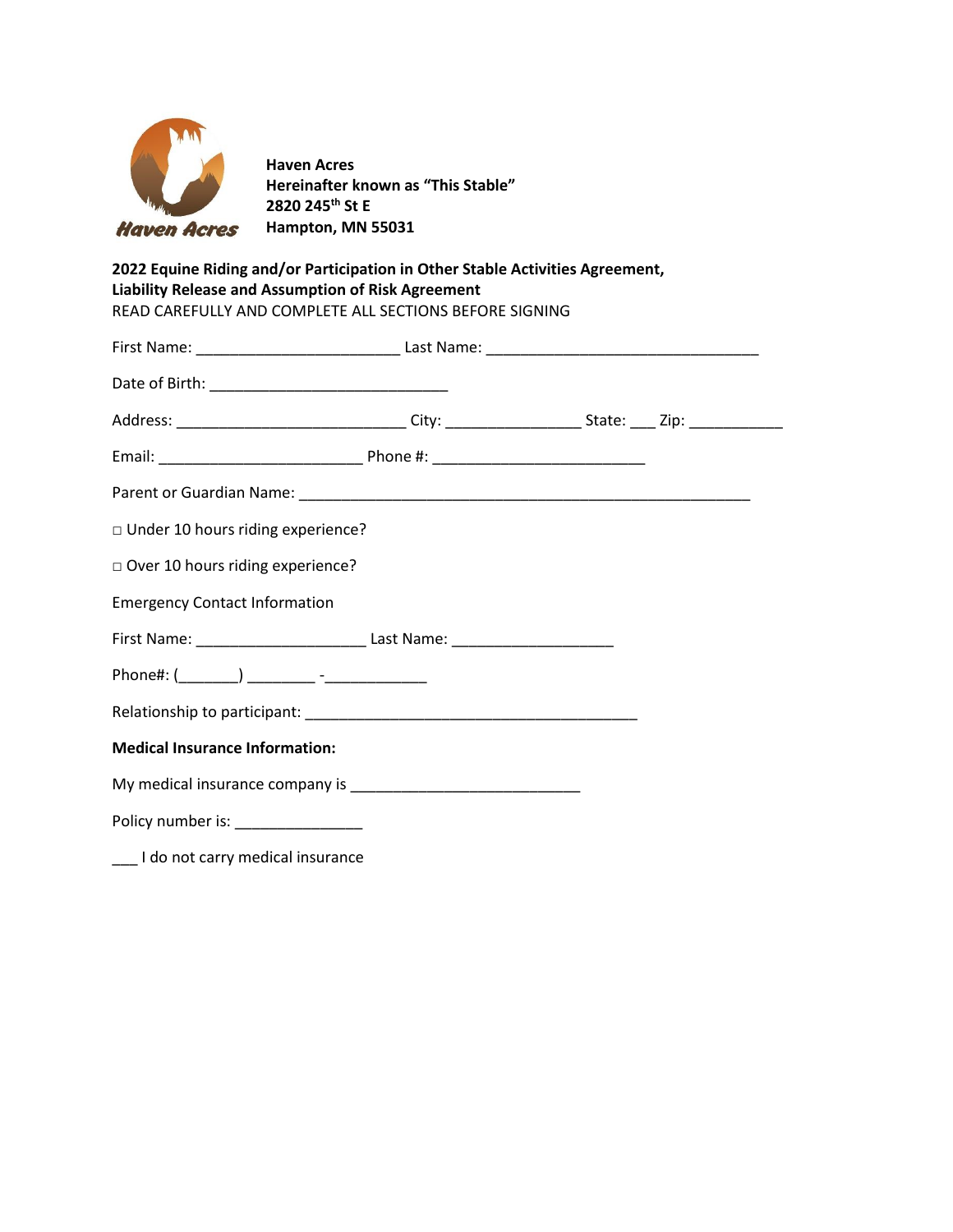

**Haven Acres Hereinafter known as "This Stable" 2820 245th St E Hampton, MN 55031**

# **2022 Equine Riding and/or Participation in Other Stable Activities Agreement, Liability Release and Assumption of Risk Agreement**

| Address: __________________________________City: _______________________State: ____ Zip: _______________ |  |  |
|----------------------------------------------------------------------------------------------------------|--|--|
|                                                                                                          |  |  |
|                                                                                                          |  |  |
| □ Under 10 hours riding experience?                                                                      |  |  |
| Over 10 hours riding experience?                                                                         |  |  |
| <b>Emergency Contact Information</b>                                                                     |  |  |
| First Name: ____________________________Last Name: _____________________________                         |  |  |
| Phone#: (________) _________ -_______________                                                            |  |  |
|                                                                                                          |  |  |

My medical insurance company is \_\_\_\_\_\_\_\_\_\_\_\_\_\_\_\_\_\_\_\_\_\_\_\_\_\_\_

Policy number is: \_\_\_\_\_\_\_\_\_\_\_\_\_\_\_

\_\_\_ I do not carry medical insurance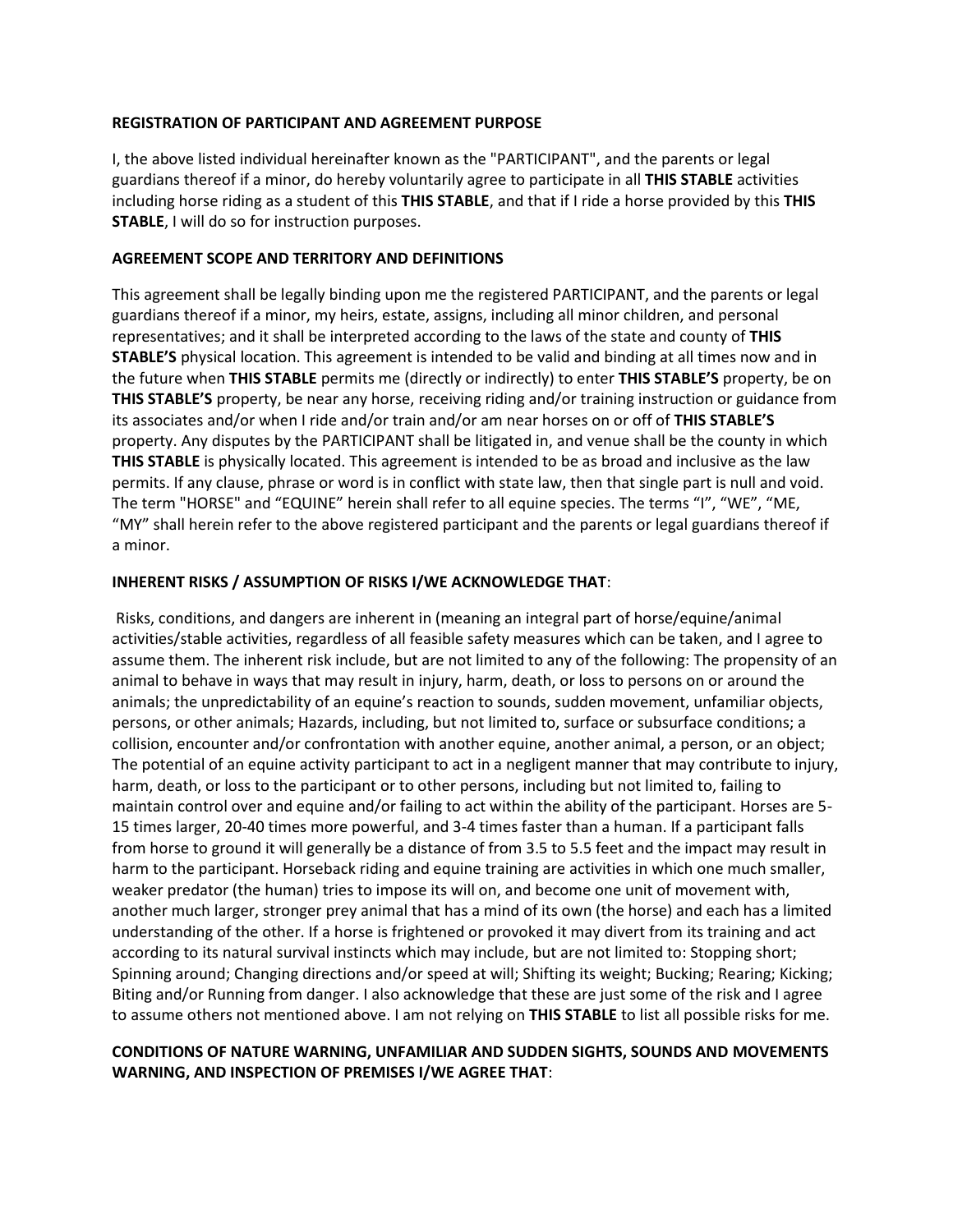### **REGISTRATION OF PARTICIPANT AND AGREEMENT PURPOSE**

I, the above listed individual hereinafter known as the "PARTICIPANT", and the parents or legal guardians thereof if a minor, do hereby voluntarily agree to participate in all **THIS STABLE** activities including horse riding as a student of this **THIS STABLE**, and that if I ride a horse provided by this **THIS STABLE**, I will do so for instruction purposes.

#### **AGREEMENT SCOPE AND TERRITORY AND DEFINITIONS**

This agreement shall be legally binding upon me the registered PARTICIPANT, and the parents or legal guardians thereof if a minor, my heirs, estate, assigns, including all minor children, and personal representatives; and it shall be interpreted according to the laws of the state and county of **THIS STABLE'S** physical location. This agreement is intended to be valid and binding at all times now and in the future when **THIS STABLE** permits me (directly or indirectly) to enter **THIS STABLE'S** property, be on **THIS STABLE'S** property, be near any horse, receiving riding and/or training instruction or guidance from its associates and/or when I ride and/or train and/or am near horses on or off of **THIS STABLE'S** property. Any disputes by the PARTICIPANT shall be litigated in, and venue shall be the county in which **THIS STABLE** is physically located. This agreement is intended to be as broad and inclusive as the law permits. If any clause, phrase or word is in conflict with state law, then that single part is null and void. The term "HORSE" and "EQUINE" herein shall refer to all equine species. The terms "I", "WE", "ME, "MY" shall herein refer to the above registered participant and the parents or legal guardians thereof if a minor.

#### **INHERENT RISKS / ASSUMPTION OF RISKS I/WE ACKNOWLEDGE THAT**:

Risks, conditions, and dangers are inherent in (meaning an integral part of horse/equine/animal activities/stable activities, regardless of all feasible safety measures which can be taken, and I agree to assume them. The inherent risk include, but are not limited to any of the following: The propensity of an animal to behave in ways that may result in injury, harm, death, or loss to persons on or around the animals; the unpredictability of an equine's reaction to sounds, sudden movement, unfamiliar objects, persons, or other animals; Hazards, including, but not limited to, surface or subsurface conditions; a collision, encounter and/or confrontation with another equine, another animal, a person, or an object; The potential of an equine activity participant to act in a negligent manner that may contribute to injury, harm, death, or loss to the participant or to other persons, including but not limited to, failing to maintain control over and equine and/or failing to act within the ability of the participant. Horses are 5- 15 times larger, 20-40 times more powerful, and 3-4 times faster than a human. If a participant falls from horse to ground it will generally be a distance of from 3.5 to 5.5 feet and the impact may result in harm to the participant. Horseback riding and equine training are activities in which one much smaller, weaker predator (the human) tries to impose its will on, and become one unit of movement with, another much larger, stronger prey animal that has a mind of its own (the horse) and each has a limited understanding of the other. If a horse is frightened or provoked it may divert from its training and act according to its natural survival instincts which may include, but are not limited to: Stopping short; Spinning around; Changing directions and/or speed at will; Shifting its weight; Bucking; Rearing; Kicking; Biting and/or Running from danger. I also acknowledge that these are just some of the risk and I agree to assume others not mentioned above. I am not relying on **THIS STABLE** to list all possible risks for me.

## **CONDITIONS OF NATURE WARNING, UNFAMILIAR AND SUDDEN SIGHTS, SOUNDS AND MOVEMENTS WARNING, AND INSPECTION OF PREMISES I/WE AGREE THAT**: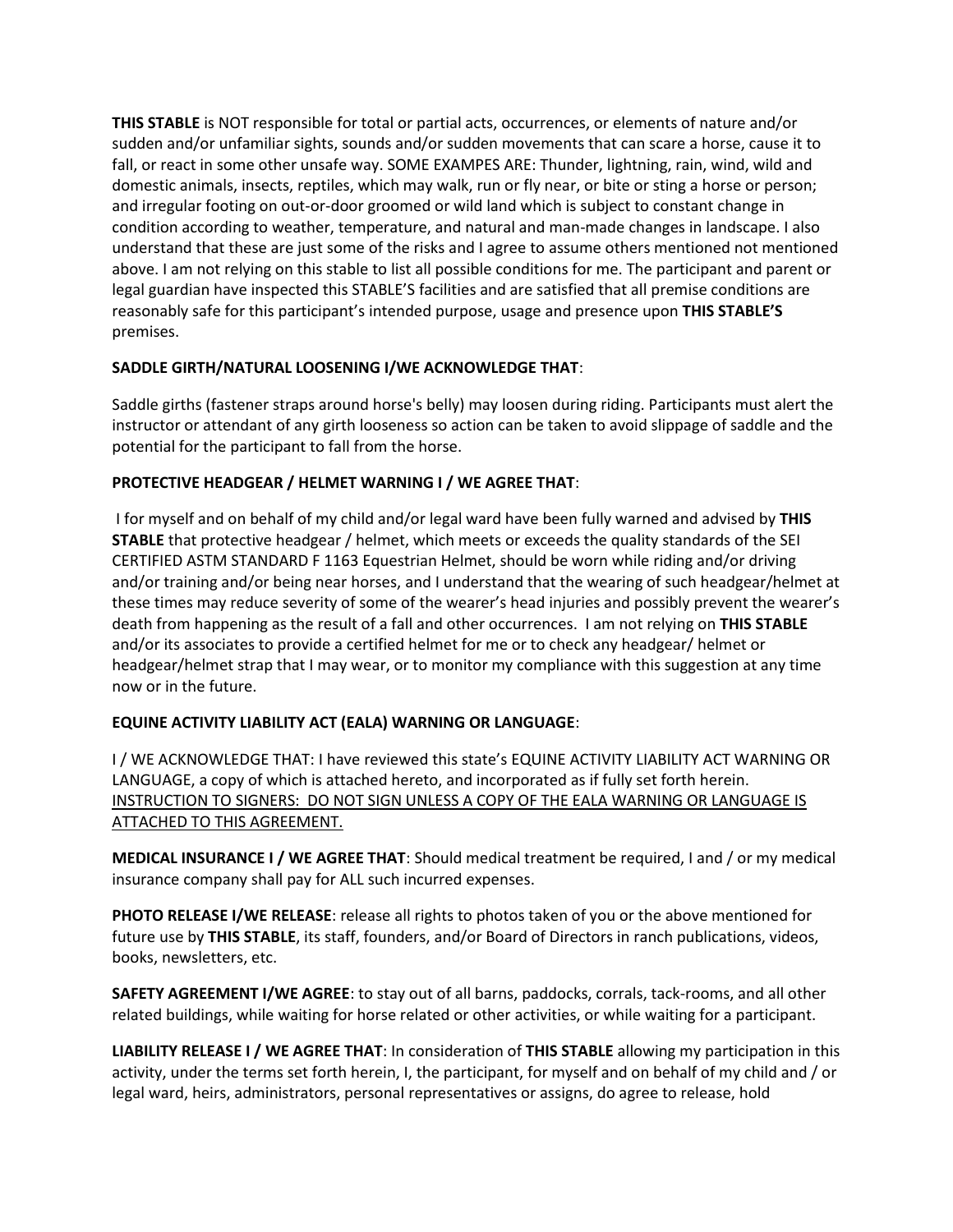**THIS STABLE** is NOT responsible for total or partial acts, occurrences, or elements of nature and/or sudden and/or unfamiliar sights, sounds and/or sudden movements that can scare a horse, cause it to fall, or react in some other unsafe way. SOME EXAMPES ARE: Thunder, lightning, rain, wind, wild and domestic animals, insects, reptiles, which may walk, run or fly near, or bite or sting a horse or person; and irregular footing on out-or-door groomed or wild land which is subject to constant change in condition according to weather, temperature, and natural and man-made changes in landscape. I also understand that these are just some of the risks and I agree to assume others mentioned not mentioned above. I am not relying on this stable to list all possible conditions for me. The participant and parent or legal guardian have inspected this STABLE'S facilities and are satisfied that all premise conditions are reasonably safe for this participant's intended purpose, usage and presence upon **THIS STABLE'S** premises.

# **SADDLE GIRTH/NATURAL LOOSENING I/WE ACKNOWLEDGE THAT**:

Saddle girths (fastener straps around horse's belly) may loosen during riding. Participants must alert the instructor or attendant of any girth looseness so action can be taken to avoid slippage of saddle and the potential for the participant to fall from the horse.

## **PROTECTIVE HEADGEAR / HELMET WARNING I / WE AGREE THAT**:

I for myself and on behalf of my child and/or legal ward have been fully warned and advised by **THIS STABLE** that protective headgear / helmet, which meets or exceeds the quality standards of the SEI CERTIFIED ASTM STANDARD F 1163 Equestrian Helmet, should be worn while riding and/or driving and/or training and/or being near horses, and I understand that the wearing of such headgear/helmet at these times may reduce severity of some of the wearer's head injuries and possibly prevent the wearer's death from happening as the result of a fall and other occurrences. I am not relying on **THIS STABLE** and/or its associates to provide a certified helmet for me or to check any headgear/ helmet or headgear/helmet strap that I may wear, or to monitor my compliance with this suggestion at any time now or in the future.

# **EQUINE ACTIVITY LIABILITY ACT (EALA) WARNING OR LANGUAGE**:

I / WE ACKNOWLEDGE THAT: I have reviewed this state's EQUINE ACTIVITY LIABILITY ACT WARNING OR LANGUAGE, a copy of which is attached hereto, and incorporated as if fully set forth herein. INSTRUCTION TO SIGNERS: DO NOT SIGN UNLESS A COPY OF THE EALA WARNING OR LANGUAGE IS ATTACHED TO THIS AGREEMENT.

**MEDICAL INSURANCE I / WE AGREE THAT**: Should medical treatment be required, I and / or my medical insurance company shall pay for ALL such incurred expenses.

**PHOTO RELEASE I/WE RELEASE**: release all rights to photos taken of you or the above mentioned for future use by **THIS STABLE**, its staff, founders, and/or Board of Directors in ranch publications, videos, books, newsletters, etc.

**SAFETY AGREEMENT I/WE AGREE**: to stay out of all barns, paddocks, corrals, tack-rooms, and all other related buildings, while waiting for horse related or other activities, or while waiting for a participant.

**LIABILITY RELEASE I / WE AGREE THAT**: In consideration of **THIS STABLE** allowing my participation in this activity, under the terms set forth herein, I, the participant, for myself and on behalf of my child and / or legal ward, heirs, administrators, personal representatives or assigns, do agree to release, hold